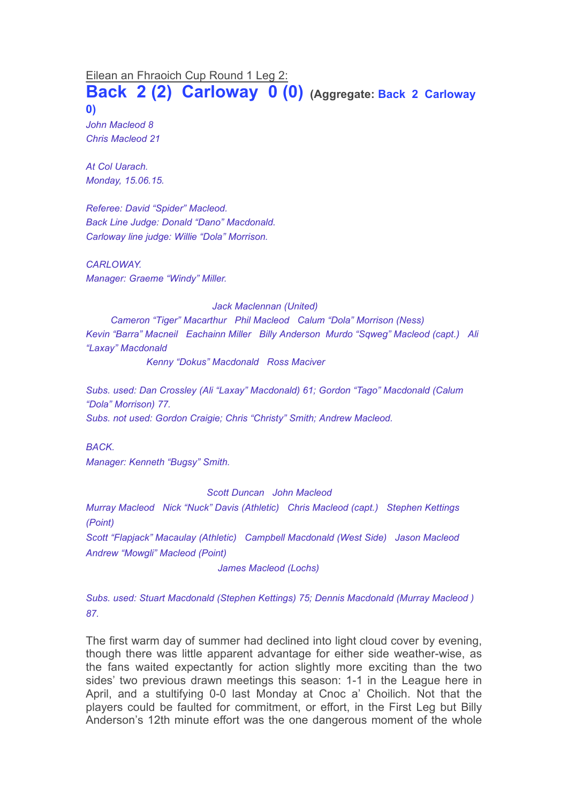Eilean an Fhraoich Cup Round 1 Leg 2:

**Back 2 (2) Carloway 0 (0) (Aggregate: Back <sup>2</sup> Carloway 0)**

*John Macleod 8 Chris Macleod 21*

*At Col Uarach. Monday, 15.06.15.*

*Referee: David "Spider" Macleod. Back Line Judge: Donald "Dano" Macdonald. Carloway line judge: Willie "Dola" Morrison.*

*CARLOWAY. Manager: Graeme "Windy" Miller.*

*Jack Maclennan (United)*

*Cameron "Tiger" Macarthur Phil Macleod Calum "Dola" Morrison (Ness) Kevin "Barra" Macneil Eachainn Miller Billy Anderson Murdo "Sqweg" Macleod (capt.) Ali "Laxay" Macdonald*

*Kenny "Dokus" Macdonald Ross Maciver*

*Subs. used: Dan Crossley (Ali "Laxay" Macdonald) 61; Gordon "Tago" Macdonald (Calum "Dola" Morrison) 77. Subs. not used: Gordon Craigie; Chris "Christy" Smith; Andrew Macleod.*

*BACK. Manager: Kenneth "Bugsy" Smith.*

*Scott Duncan John Macleod*

*Murray Macleod Nick "Nuck" Davis (Athletic) Chris Macleod (capt.) Stephen Kettings (Point)*

*Scott "Flapjack" Macaulay (Athletic) Campbell Macdonald (West Side) Jason Macleod Andrew "Mowgli" Macleod (Point)*

*James Macleod (Lochs)*

*Subs. used: Stuart Macdonald (Stephen Kettings) 75; Dennis Macdonald (Murray Macleod ) 87.*

The first warm day of summer had declined into light cloud cover by evening, though there was little apparent advantage for either side weather-wise, as the fans waited expectantly for action slightly more exciting than the two sides' two previous drawn meetings this season: 1-1 in the League here in April, and a stultifying 0-0 last Monday at Cnoc a' Choilich. Not that the players could be faulted for commitment, or effort, in the First Leg but Billy Anderson's 12th minute effort was the one dangerous moment of the whole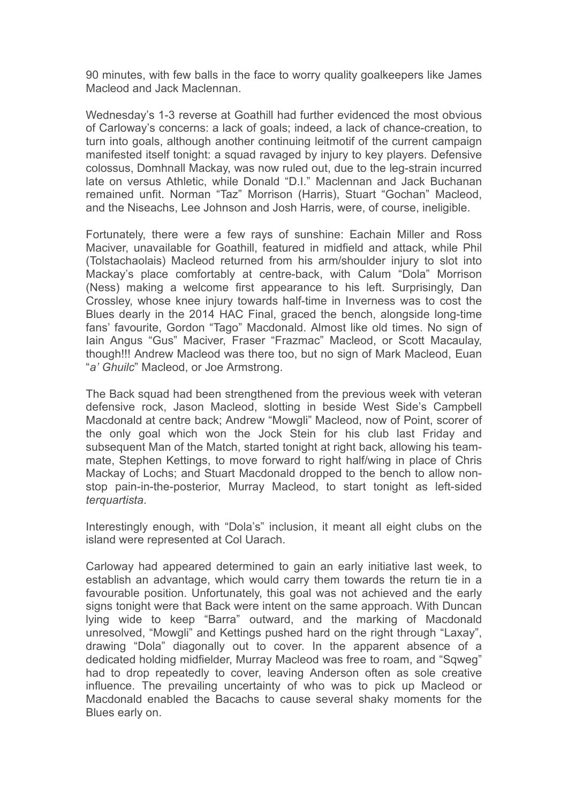90 minutes, with few balls in the face to worry quality goalkeepers like James Macleod and Jack Maclennan.

Wednesday's 1-3 reverse at Goathill had further evidenced the most obvious of Carloway's concerns: a lack of goals; indeed, a lack of chance-creation, to turn into goals, although another continuing leitmotif of the current campaign manifested itself tonight: a squad ravaged by injury to key players. Defensive colossus, Domhnall Mackay, was now ruled out, due to the leg-strain incurred late on versus Athletic, while Donald "D.I." Maclennan and Jack Buchanan remained unfit. Norman "Taz" Morrison (Harris), Stuart "Gochan" Macleod, and the Niseachs, Lee Johnson and Josh Harris, were, of course, ineligible.

Fortunately, there were a few rays of sunshine: Eachain Miller and Ross Maciver, unavailable for Goathill, featured in midfield and attack, while Phil (Tolstachaolais) Macleod returned from his arm/shoulder injury to slot into Mackay's place comfortably at centre-back, with Calum "Dola" Morrison (Ness) making a welcome first appearance to his left. Surprisingly, Dan Crossley, whose knee injury towards half-time in Inverness was to cost the Blues dearly in the 2014 HAC Final, graced the bench, alongside long-time fans' favourite, Gordon "Tago" Macdonald. Almost like old times. No sign of Iain Angus "Gus" Maciver, Fraser "Frazmac" Macleod, or Scott Macaulay, though!!! Andrew Macleod was there too, but no sign of Mark Macleod, Euan "*a' Ghuilc*" Macleod, or Joe Armstrong.

The Back squad had been strengthened from the previous week with veteran defensive rock, Jason Macleod, slotting in beside West Side's Campbell Macdonald at centre back; Andrew "Mowgli" Macleod, now of Point, scorer of the only goal which won the Jock Stein for his club last Friday and subsequent Man of the Match, started tonight at right back, allowing his teammate, Stephen Kettings, to move forward to right half/wing in place of Chris Mackay of Lochs; and Stuart Macdonald dropped to the bench to allow nonstop pain-in-the-posterior, Murray Macleod, to start tonight as left-sided *terquartista*.

Interestingly enough, with "Dola's" inclusion, it meant all eight clubs on the island were represented at Col Uarach.

Carloway had appeared determined to gain an early initiative last week, to establish an advantage, which would carry them towards the return tie in a favourable position. Unfortunately, this goal was not achieved and the early signs tonight were that Back were intent on the same approach. With Duncan lying wide to keep "Barra" outward, and the marking of Macdonald unresolved, "Mowgli" and Kettings pushed hard on the right through "Laxay", drawing "Dola" diagonally out to cover. In the apparent absence of a dedicated holding midfielder, Murray Macleod was free to roam, and "Sqweg" had to drop repeatedly to cover, leaving Anderson often as sole creative influence. The prevailing uncertainty of who was to pick up Macleod or Macdonald enabled the Bacachs to cause several shaky moments for the Blues early on.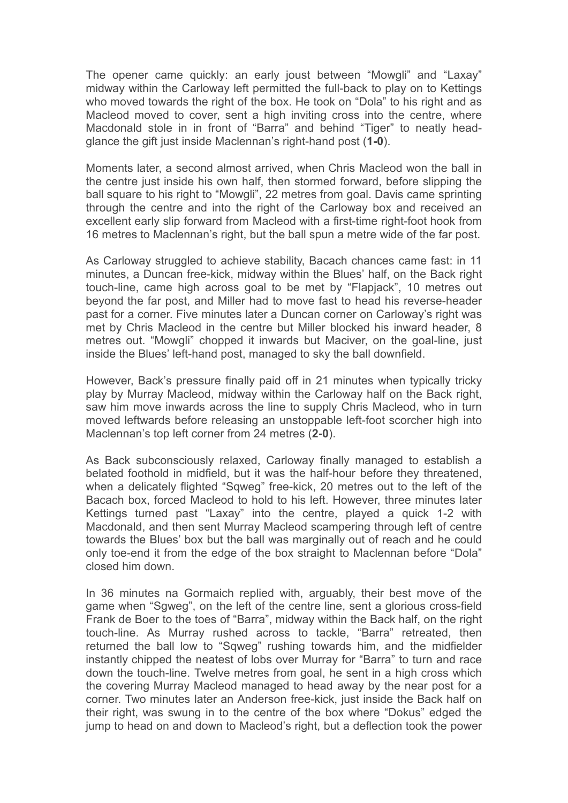The opener came quickly: an early joust between "Mowgli" and "Laxay" midway within the Carloway left permitted the full-back to play on to Kettings who moved towards the right of the box. He took on "Dola" to his right and as Macleod moved to cover, sent a high inviting cross into the centre, where Macdonald stole in in front of "Barra" and behind "Tiger" to neatly headglance the gift just inside Maclennan's right-hand post (**1-0**).

Moments later, a second almost arrived, when Chris Macleod won the ball in the centre just inside his own half, then stormed forward, before slipping the ball square to his right to "Mowgli", 22 metres from goal. Davis came sprinting through the centre and into the right of the Carloway box and received an excellent early slip forward from Macleod with a first-time right-foot hook from 16 metres to Maclennan's right, but the ball spun a metre wide of the far post.

As Carloway struggled to achieve stability, Bacach chances came fast: in 11 minutes, a Duncan free-kick, midway within the Blues' half, on the Back right touch-line, came high across goal to be met by "Flapjack", 10 metres out beyond the far post, and Miller had to move fast to head his reverse-header past for a corner. Five minutes later a Duncan corner on Carloway's right was met by Chris Macleod in the centre but Miller blocked his inward header, 8 metres out. "Mowgli" chopped it inwards but Maciver, on the goal-line, just inside the Blues' left-hand post, managed to sky the ball downfield.

However, Back's pressure finally paid off in 21 minutes when typically tricky play by Murray Macleod, midway within the Carloway half on the Back right, saw him move inwards across the line to supply Chris Macleod, who in turn moved leftwards before releasing an unstoppable left-foot scorcher high into Maclennan's top left corner from 24 metres (**2-0**).

As Back subconsciously relaxed, Carloway finally managed to establish a belated foothold in midfield, but it was the half-hour before they threatened, when a delicately flighted "Sqweg" free-kick, 20 metres out to the left of the Bacach box, forced Macleod to hold to his left. However, three minutes later Kettings turned past "Laxay" into the centre, played a quick 1-2 with Macdonald, and then sent Murray Macleod scampering through left of centre towards the Blues' box but the ball was marginally out of reach and he could only toe-end it from the edge of the box straight to Maclennan before "Dola" closed him down.

In 36 minutes na Gormaich replied with, arguably, their best move of the game when "Sgweg", on the left of the centre line, sent a glorious cross-field Frank de Boer to the toes of "Barra", midway within the Back half, on the right touch-line. As Murray rushed across to tackle, "Barra" retreated, then returned the ball low to "Sqweg" rushing towards him, and the midfielder instantly chipped the neatest of lobs over Murray for "Barra" to turn and race down the touch-line. Twelve metres from goal, he sent in a high cross which the covering Murray Macleod managed to head away by the near post for a corner. Two minutes later an Anderson free-kick, just inside the Back half on their right, was swung in to the centre of the box where "Dokus" edged the jump to head on and down to Macleod's right, but a deflection took the power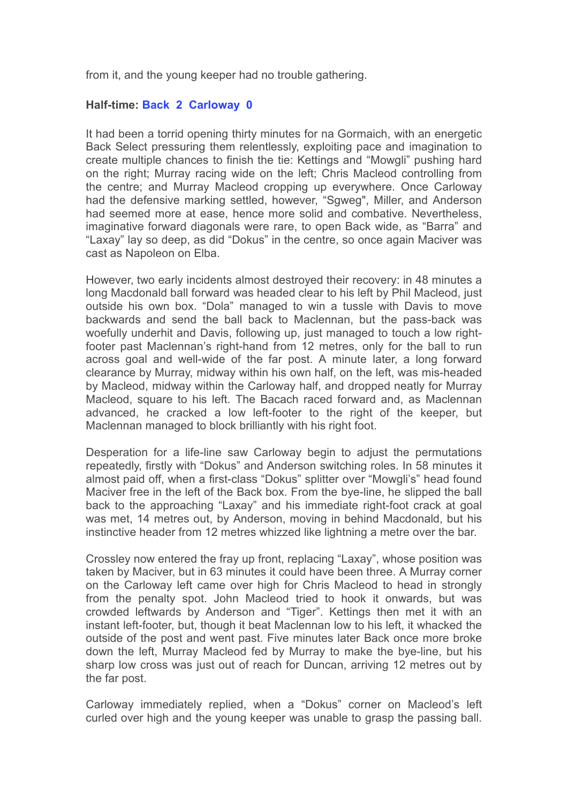from it, and the young keeper had no trouble gathering.

## **Half-time: Back 2 Carloway 0**

It had been a torrid opening thirty minutes for na Gormaich, with an energetic Back Select pressuring them relentlessly, exploiting pace and imagination to create multiple chances to finish the tie: Kettings and "Mowgli" pushing hard on the right; Murray racing wide on the left; Chris Macleod controlling from the centre; and Murray Macleod cropping up everywhere. Once Carloway had the defensive marking settled, however, "Sgweg", Miller, and Anderson had seemed more at ease, hence more solid and combative. Nevertheless, imaginative forward diagonals were rare, to open Back wide, as "Barra" and "Laxay" lay so deep, as did "Dokus" in the centre, so once again Maciver was cast as Napoleon on Elba.

However, two early incidents almost destroyed their recovery: in 48 minutes a long Macdonald ball forward was headed clear to his left by Phil Macleod, just outside his own box. "Dola" managed to win a tussle with Davis to move backwards and send the ball back to Maclennan, but the pass-back was woefully underhit and Davis, following up, just managed to touch a low rightfooter past Maclennan's right-hand from 12 metres, only for the ball to run across goal and well-wide of the far post. A minute later, a long forward clearance by Murray, midway within his own half, on the left, was mis-headed by Macleod, midway within the Carloway half, and dropped neatly for Murray Macleod, square to his left. The Bacach raced forward and, as Maclennan advanced, he cracked a low left-footer to the right of the keeper, but Maclennan managed to block brilliantly with his right foot.

Desperation for a life-line saw Carloway begin to adjust the permutations repeatedly, firstly with "Dokus" and Anderson switching roles. In 58 minutes it almost paid off, when a first-class "Dokus" splitter over "Mowgli's" head found Maciver free in the left of the Back box. From the bye-line, he slipped the ball back to the approaching "Laxay" and his immediate right-foot crack at goal was met, 14 metres out, by Anderson, moving in behind Macdonald, but his instinctive header from 12 metres whizzed like lightning a metre over the bar.

Crossley now entered the fray up front, replacing "Laxay", whose position was taken by Maciver, but in 63 minutes it could have been three. A Murray corner on the Carloway left came over high for Chris Macleod to head in strongly from the penalty spot. John Macleod tried to hook it onwards, but was crowded leftwards by Anderson and "Tiger". Kettings then met it with an instant left-footer, but, though it beat Maclennan low to his left, it whacked the outside of the post and went past. Five minutes later Back once more broke down the left, Murray Macleod fed by Murray to make the bye-line, but his sharp low cross was just out of reach for Duncan, arriving 12 metres out by the far post.

Carloway immediately replied, when a "Dokus" corner on Macleod's left curled over high and the young keeper was unable to grasp the passing ball.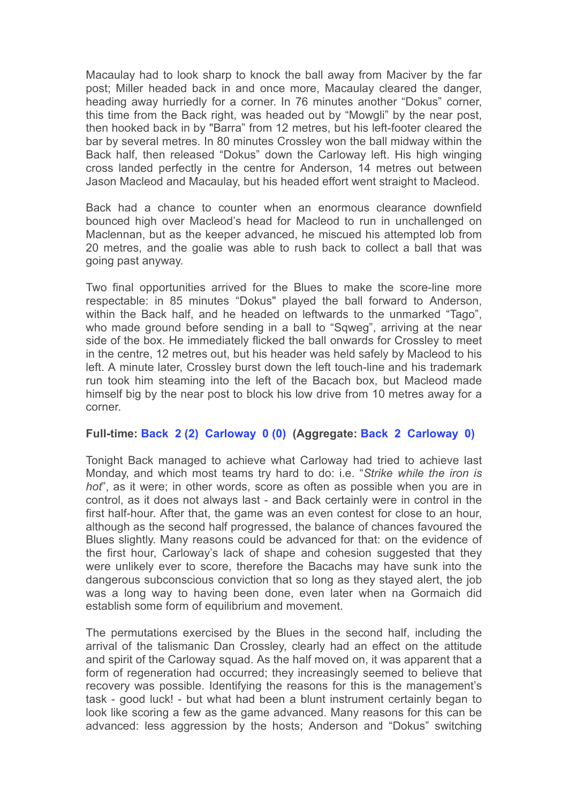Macaulay had to look sharp to knock the ball away from Maciver by the far post; Miller headed back in and once more, Macaulay cleared the danger, heading away hurriedly for a corner. In 76 minutes another "Dokus" corner, this time from the Back right, was headed out by "Mowgli" by the near post, then hooked back in by "Barra" from 12 metres, but his left-footer cleared the bar by several metres. In 80 minutes Crossley won the ball midway within the Back half, then released "Dokus" down the Carloway left. His high winging cross landed perfectly in the centre for Anderson, 14 metres out between Jason Macleod and Macaulay, but his headed effort went straight to Macleod.

Back had a chance to counter when an enormous clearance downfield bounced high over Macleod's head for Macleod to run in unchallenged on Maclennan, but as the keeper advanced, he miscued his attempted lob from 20 metres, and the goalie was able to rush back to collect a ball that was going past anyway.

Two final opportunities arrived for the Blues to make the score-line more respectable: in 85 minutes "Dokus" played the ball forward to Anderson, within the Back half, and he headed on leftwards to the unmarked "Tago", who made ground before sending in a ball to "Sqweg", arriving at the near side of the box. He immediately flicked the ball onwards for Crossley to meet in the centre, 12 metres out, but his header was held safely by Macleod to his left. A minute later, Crossley burst down the left touch-line and his trademark run took him steaming into the left of the Bacach box, but Macleod made himself big by the near post to block his low drive from 10 metres away for a corner.

## **Full-time: Back 2 (2) Carloway 0 (0) (Aggregate: Back 2 Carloway 0)**

Tonight Back managed to achieve what Carloway had tried to achieve last Monday, and which most teams try hard to do: i.e. "*Strike while the iron is hot*", as it were; in other words, score as often as possible when you are in control, as it does not always last - and Back certainly were in control in the first half-hour. After that, the game was an even contest for close to an hour, although as the second half progressed, the balance of chances favoured the Blues slightly. Many reasons could be advanced for that: on the evidence of the first hour, Carloway's lack of shape and cohesion suggested that they were unlikely ever to score, therefore the Bacachs may have sunk into the dangerous subconscious conviction that so long as they stayed alert, the job was a long way to having been done, even later when na Gormaich did establish some form of equilibrium and movement.

The permutations exercised by the Blues in the second half, including the arrival of the talismanic Dan Crossley, clearly had an effect on the attitude and spirit of the Carloway squad. As the half moved on, it was apparent that a form of regeneration had occurred; they increasingly seemed to believe that recovery was possible. Identifying the reasons for this is the management's task - good luck! - but what had been a blunt instrument certainly began to look like scoring a few as the game advanced. Many reasons for this can be advanced: less aggression by the hosts; Anderson and "Dokus" switching